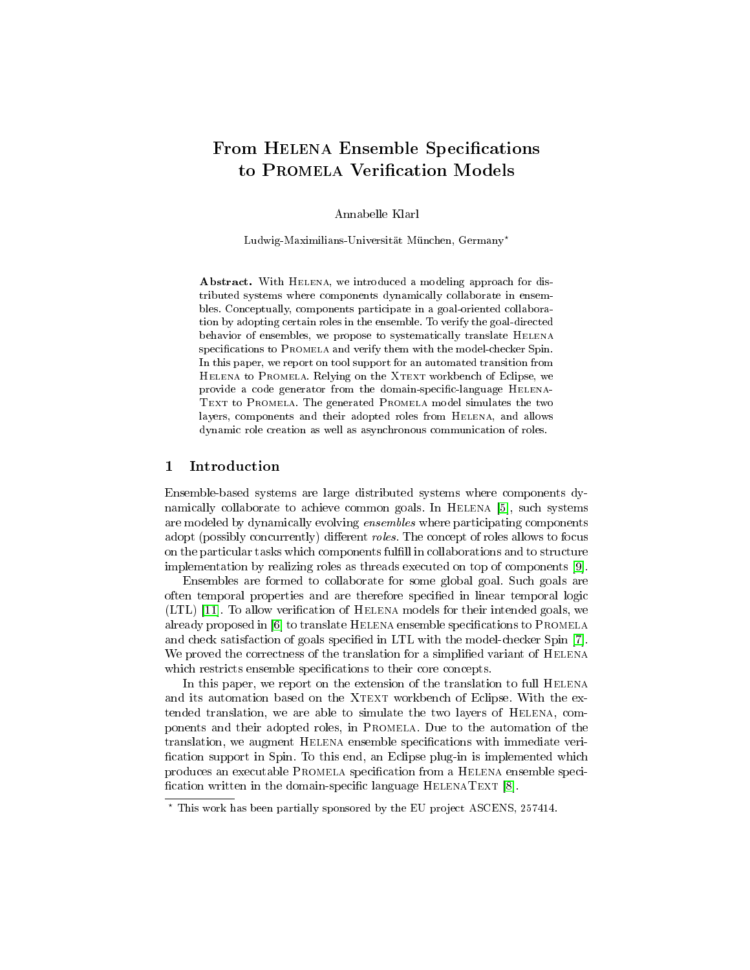# From HELENA Ensemble Specifications to PROMELA Verification Models

Annabelle Klarl

Ludwig-Maximilians-Universität München, Germany?

Abstract. With HELENA, we introduced a modeling approach for distributed systems where components dynamically collaborate in ensembles. Conceptually, components participate in a goal-oriented collaboration by adopting certain roles in the ensemble. To verify the goal-directed behavior of ensembles, we propose to systematically translate Helena specifications to PROMELA and verify them with the model-checker Spin. In this paper, we report on tool support for an automated transition from HELENA to PROMELA. Relying on the XTEXT workbench of Eclipse, we provide a code generator from the domain-specific-language HELENA-TEXT to PROMELA. The generated PROMELA model simulates the two layers, components and their adopted roles from Helena, and allows dynamic role creation as well as asynchronous communication of roles.

## 1 Introduction

Ensemble-based systems are large distributed systems where components dy-namically collaborate to achieve common goals. In HELENA [\[5\]](#page-5-0), such systems are modeled by dynamically evolving ensembles where participating components adopt (possibly concurrently) different *roles*. The concept of roles allows to focus on the particular tasks which components fulll in collaborations and to structure implementation by realizing roles as threads executed on top of components [\[9\]](#page-5-1).

Ensembles are formed to collaborate for some global goal. Such goals are often temporal properties and are therefore specified in linear temporal logic  $(LTL)$  [\[11\]](#page-5-2). To allow verification of HELENA models for their intended goals, we already proposed in [\[6\]](#page-5-3) to translate HELENA ensemble specifications to PROMELA and check satisfaction of goals specified in LTL with the model-checker Spin [\[7\]](#page-5-4). We proved the correctness of the translation for a simplified variant of HELENA which restricts ensemble specifications to their core concepts.

In this paper, we report on the extension of the translation to full HELENA and its automation based on the XTEXT workbench of Eclipse. With the extended translation, we are able to simulate the two layers of HELENA, components and their adopted roles, in Promela. Due to the automation of the translation, we augment HELENA ensemble specifications with immediate verification support in Spin. To this end, an Eclipse plug-in is implemented which produces an executable Promela specication from a Helena ensemble speci fication written in the domain-specific language HELENATEXT  $[8]$ .

<sup>?</sup> This work has been partially sponsored by the EU project ASCENS, 257414.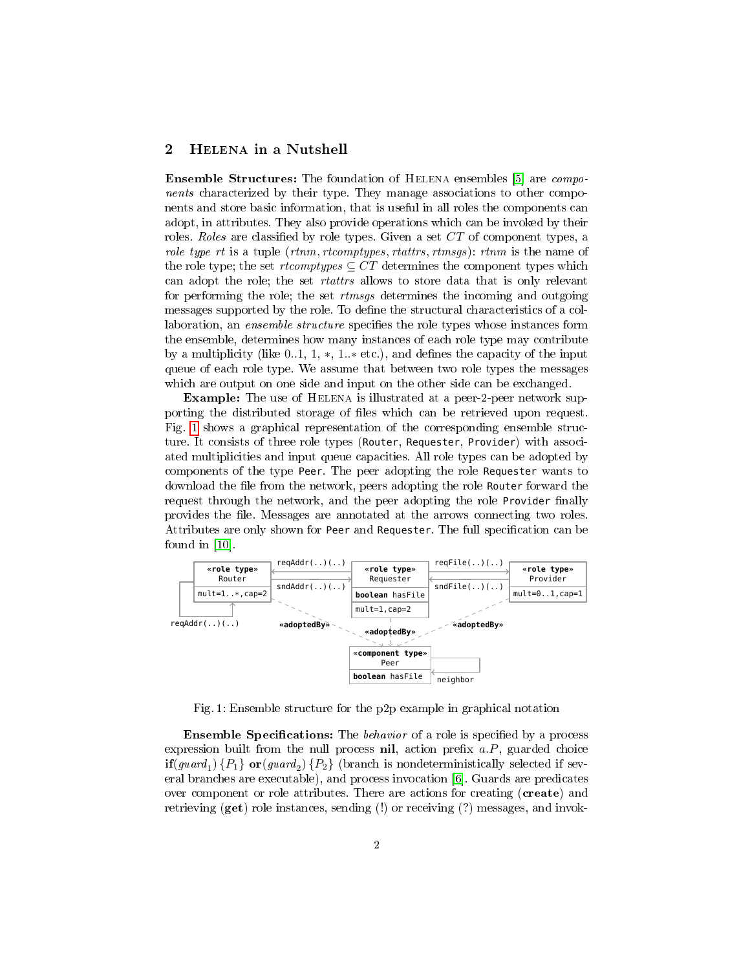# 2 Helena in a Nutshell

**Ensemble Structures:** The foundation of HELENA ensembles [\[5\]](#page-5-0) are *compo*nents characterized by their type. They manage associations to other components and store basic information, that is useful in all roles the components can adopt, in attributes. They also provide operations which can be invoked by their roles. Roles are classified by role types. Given a set  $CT$  of component types, a role type rt is a tuple (rtnm, rtcomptypes, rtattrs, rtmsgs): rtnm is the name of the role type; the set rtcomptypes  $\subseteq$  CT determines the component types which can adopt the role; the set rtattrs allows to store data that is only relevant for performing the role; the set *rtmsgs* determines the incoming and outgoing messages supported by the role. To define the structural characteristics of a collaboration, an *ensemble structure* specifies the role types whose instances form the ensemble, determines how many instances of each role type may contribute by a multiplicity (like 0..1, 1,  $\ast$ , 1.. $\ast$  etc.), and defines the capacity of the input queue of each role type. We assume that between two role types the messages which are output on one side and input on the other side can be exchanged.

Example: The use of Helena is illustrated at a peer-2-peer network supporting the distributed storage of files which can be retrieved upon request. Fig. [1](#page-1-0) shows a graphical representation of the corresponding ensemble structure. It consists of three role types (Router, Requester, Provider) with associated multiplicities and input queue capacities. All role types can be adopted by components of the type Peer. The peer adopting the role Requester wants to download the file from the network, peers adopting the role Router forward the request through the network, and the peer adopting the role Provider finally provides the file. Messages are annotated at the arrows connecting two roles. Attributes are only shown for Peer and Requester. The full specification can be found in [\[10\]](#page-5-6).

<span id="page-1-0"></span>

Fig. 1: Ensemble structure for the p2p example in graphical notation

**Ensemble Specifications:** The *behavior* of a role is specified by a process expression built from the null process nil, action prefix  $a.P$ , guarded choice  $\textbf{if}(\textit{guard}_1) \left\{P_1\right\} \ \textbf{or}(\textit{guard}_2) \left\{P_2\right\}$  (branch is nondeterministically selected if several branches are executable), and process invocation [\[6\]](#page-5-3). Guards are predicates over component or role attributes. There are actions for creating (create) and retrieving (get) role instances, sending (!) or receiving (?) messages, and invok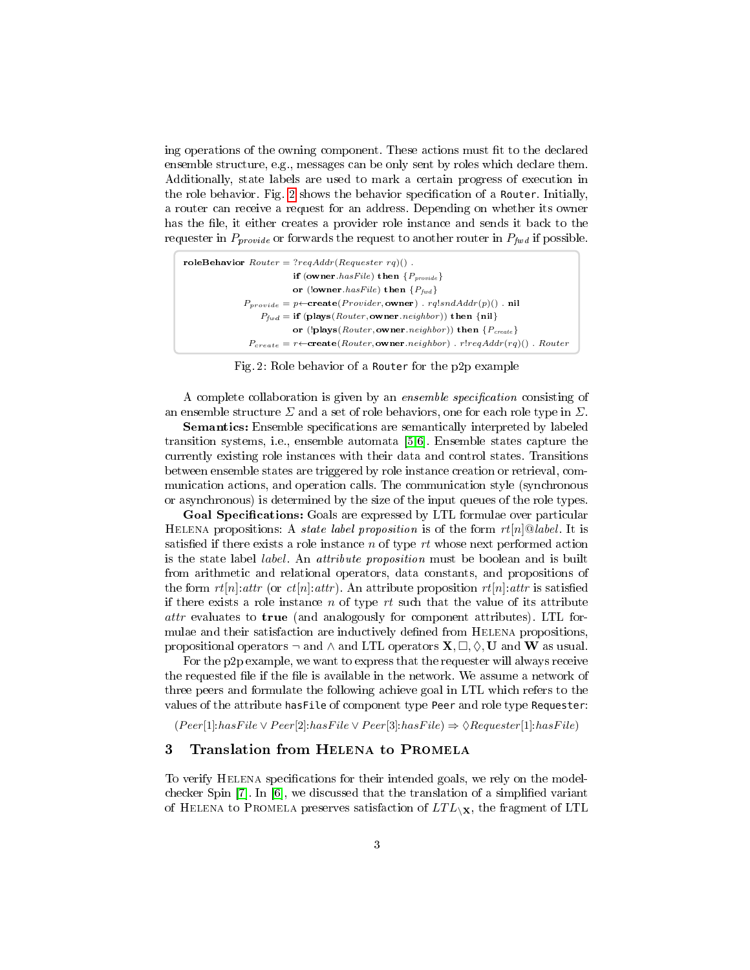ing operations of the owning component. These actions must fit to the declared ensemble structure, e.g., messages can be only sent by roles which declare them. Additionally, state labels are used to mark a certain progress of execution in the role behavior. Fig. [2](#page-2-0) shows the behavior specification of a Router. Initially, a router can receive a request for an address. Depending on whether its owner has the file, it either creates a provider role instance and sends it back to the requester in  $P_{provide}$  or forwards the request to another router in  $P_{fwd}$  if possible.

<span id="page-2-0"></span>

| roleBehavior $Router = ?reqAddr(Requester rq)()$ .                                                    |
|-------------------------------------------------------------------------------------------------------|
| if (owner.hasFile) then $\{P_{provide}\}$                                                             |
| or (!owner.hasFile) then $\{P_{\text{fund}}\}$                                                        |
| $P_{provide} = p \leftarrow \text{create}(Provider, \text{owner})$ . $rq!sndAddr(p)()$ . nil          |
| $P_{\text{fw}} = \text{if}(\text{plays}(Router, \text{owner}.neighbor))$ then $\{\text{nil}\}\$       |
| or (!plays( $Router$ , owner. neighbor)) then $\{P_{create}\}$                                        |
| $P_{create} = r \leftarrow \text{create}(Router, \text{owner}.neighbor)$ . $r!reqAddr(rq)()$ . Router |

Fig. 2: Role behavior of a Router for the p2p example

A complete collaboration is given by an ensemble specification consisting of an ensemble structure  $\Sigma$  and a set of role behaviors, one for each role type in  $\Sigma$ .

**Semantics:** Ensemble specifications are semantically interpreted by labeled transition systems, i.e., ensemble automata [\[5,](#page-5-0)[6\]](#page-5-3). Ensemble states capture the currently existing role instances with their data and control states. Transitions between ensemble states are triggered by role instance creation or retrieval, communication actions, and operation calls. The communication style (synchronous or asynchronous) is determined by the size of the input queues of the role types.

Goal Specifications: Goals are expressed by LTL formulae over particular HELENA propositions: A *state label proposition* is of the form  $rt|n|@label$ . It is satisfied if there exists a role instance  $n$  of type  $rt$  whose next performed action is the state label label. An attribute proposition must be boolean and is built from arithmetic and relational operators, data constants, and propositions of the form  $rt[n].attr$  (or  $ct[n].attr$ ). An attribute proposition  $rt[n].attr$  is satisfied if there exists a role instance n of type  $rt$  such that the value of its attribute attr evaluates to true (and analogously for component attributes). LTL formulae and their satisfaction are inductively defined from HELENA propositions, propositional operators  $\neg$  and  $\wedge$  and LTL operators  $X, \Box, \Diamond, U$  and W as usual.

For the p2p example, we want to express that the requester will always receive the requested file if the file is available in the network. We assume a network of three peers and formulate the following achieve goal in LTL which refers to the values of the attribute hasFile of component type Peer and role type Requester:

 $(Peer[1]: hasFile \vee Peer[2]: hasFile \vee Peer[3]: hasFile) \Rightarrow \Diamond Reguester[1]: hasFile)$ 

## 3 Translation from Helena to Promela

To verify HELENA specifications for their intended goals, we rely on the model-checker Spin [\[7\]](#page-5-4). In [\[6\]](#page-5-3), we discussed that the translation of a simplified variant of HELENA to PROMELA preserves satisfaction of  $LTL_{\mathbf{X}}$ , the fragment of LTL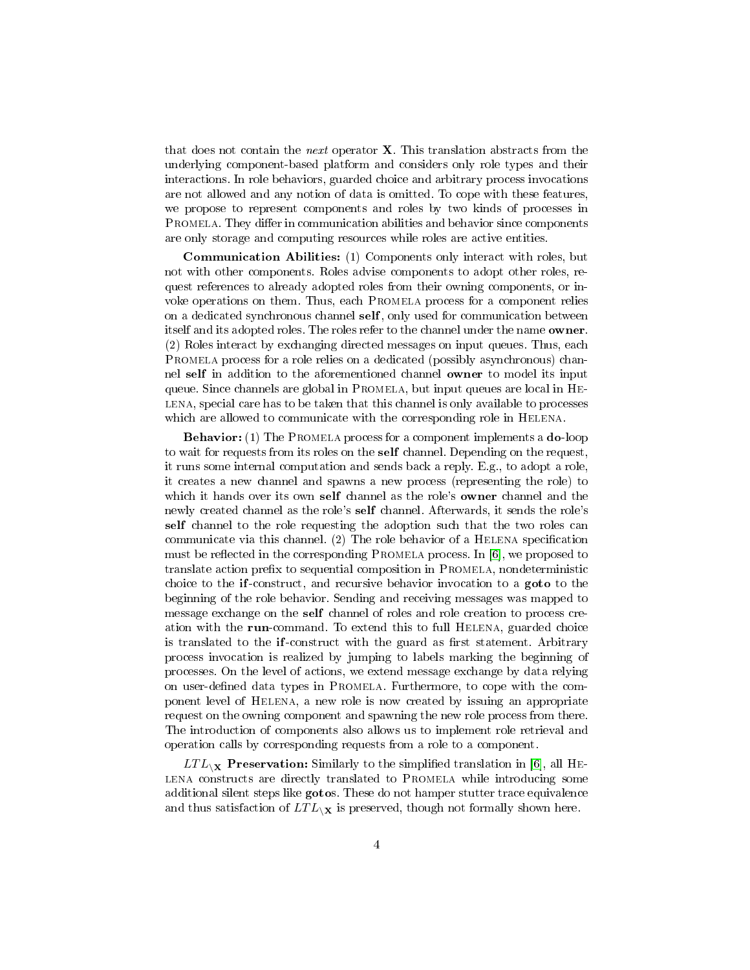that does not contain the *next* operator  $X$ . This translation abstracts from the underlying component-based platform and considers only role types and their interactions. In role behaviors, guarded choice and arbitrary process invocations are not allowed and any notion of data is omitted. To cope with these features, we propose to represent components and roles by two kinds of processes in PROMELA. They differ in communication abilities and behavior since components are only storage and computing resources while roles are active entities.

Communication Abilities: (1) Components only interact with roles, but not with other components. Roles advise components to adopt other roles, request references to already adopted roles from their owning components, or invoke operations on them. Thus, each Promela process for a component relies on a dedicated synchronous channel self, only used for communication between itself and its adopted roles. The roles refer to the channel under the name owner. (2) Roles interact by exchanging directed messages on input queues. Thus, each PROMELA process for a role relies on a dedicated (possibly asynchronous) channel self in addition to the aforementioned channel owner to model its input queue. Since channels are global in Promela, but input queues are local in He-LENA, special care has to be taken that this channel is only available to processes which are allowed to communicate with the corresponding role in HELENA.

Behavior: (1) The PROMELA process for a component implements a do-loop to wait for requests from its roles on the self channel. Depending on the request, it runs some internal computation and sends back a reply. E.g., to adopt a role, it creates a new channel and spawns a new process (representing the role) to which it hands over its own self channel as the role's owner channel and the newly created channel as the role's self channel. Afterwards, it sends the role's self channel to the role requesting the adoption such that the two roles can communicate via this channel.  $(2)$  The role behavior of a HELENA specification must be reflected in the corresponding PROMELA process. In  $[6]$ , we proposed to translate action prefix to sequential composition in PROMELA, nondeterministic choice to the if-construct, and recursive behavior invocation to a goto to the beginning of the role behavior. Sending and receiving messages was mapped to message exchange on the self channel of roles and role creation to process creation with the run-command. To extend this to full Helena, guarded choice is translated to the **if-**construct with the guard as first statement. Arbitrary process invocation is realized by jumping to labels marking the beginning of processes. On the level of actions, we extend message exchange by data relying on user-defined data types in PROMELA. Furthermore, to cope with the component level of Helena, a new role is now created by issuing an appropriate request on the owning component and spawning the new role process from there. The introduction of components also allows us to implement role retrieval and operation calls by corresponding requests from a role to a component.

 $LTL_{\chi}$  Preservation: Similarly to the simplified translation in [\[6\]](#page-5-3), all HElena constructs are directly translated to Promela while introducing some additional silent steps like gotos. These do not hamper stutter trace equivalence and thus satisfaction of  $LTL_{\mathbf{X}}$  is preserved, though not formally shown here.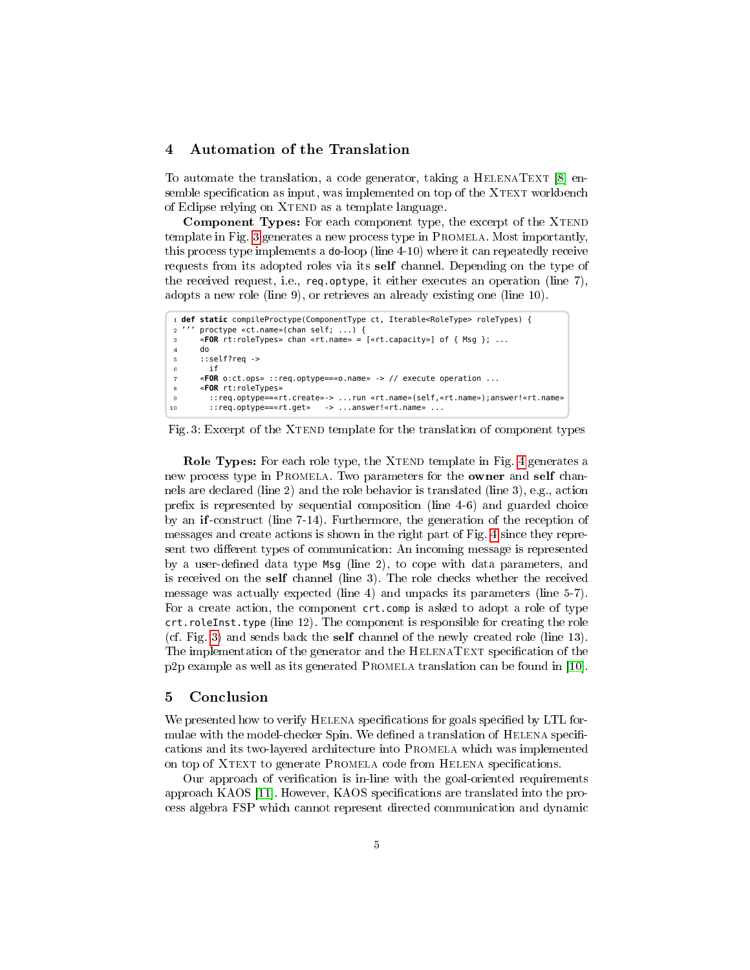# 4 Automation of the Translation

To automate the translation, a code generator, taking a HELENATEXT [\[8\]](#page-5-5) ensemble specification as input, was implemented on top of the XTEXT workbench of Eclipse relying on XTEND as a template language.

Component Types: For each component type, the excerpt of the XTEND template in Fig. [3](#page-4-0) generates a new process type in Promela. Most importantly, this process type implements a do-loop (line 4-10) where it can repeatedly receive requests from its adopted roles via its self channel. Depending on the type of the received request, i.e., req.optype, it either executes an operation (line 7), adopts a new role (line 9), or retrieves an already existing one (line 10).

```
1 def static compileProctype(ComponentType ct, Iterable<RoleType> roleTypes) {
2 ''' proctype «ct.name»(chan self; ...) {
3 «FOR rt:roleTypes» chan «rt.name» = [«rt.capacity»] of { Msg }; ...
      4 do
5 ::self?req ->
6 if
7 «FOR o:ct.ops» ::req.optype==«o.name» -> // execute operation ...
8 «FOR rt:roleTypes»
9 ::req.optype==«rt.create»-> ...run «rt.name»(self,«rt.name»);answer!«rt.name»
10 ::req.optype==«rt.get» -> ...answer!«rt.name» ...
```
Fig. 3: Excerpt of the XTEND template for the translation of component types

Role Types: For each role type, the XTEND template in Fig. [4](#page-5-7) generates a new process type in PROMELA. Two parameters for the **owner** and self channels are declared (line 2) and the role behavior is translated (line 3), e.g., action prefix is represented by sequential composition (line  $4-6$ ) and guarded choice by an if-construct (line 7-14). Furthermore, the generation of the reception of messages and create actions is shown in the right part of Fig. [4](#page-5-7) since they represent two different types of communication: An incoming message is represented by a user-defined data type Msg (line 2), to cope with data parameters, and is received on the self channel (line 3). The role checks whether the received message was actually expected (line 4) and unpacks its parameters (line 5-7). For a create action, the component crt.comp is asked to adopt a role of type crt.roleInst.type (line 12). The component is responsible for creating the role (cf. Fig. [3\)](#page-4-0) and sends back the self channel of the newly created role (line 13). The implementation of the generator and the HELENATEXT specification of the p2p example as well as its generated PROMELA translation can be found in [\[10\]](#page-5-6).

### 5 Conclusion

We presented how to verify HELENA specifications for goals specified by LTL formulae with the model-checker Spin. We defined a translation of HELENA specifications and its two-layered architecture into Promela which was implemented on top of Xtext to generate Promela code from Helena specications.

Our approach of verification is in-line with the goal-oriented requirements approach KAOS [\[11\]](#page-5-2). However, KAOS specifications are translated into the process algebra FSP which cannot represent directed communication and dynamic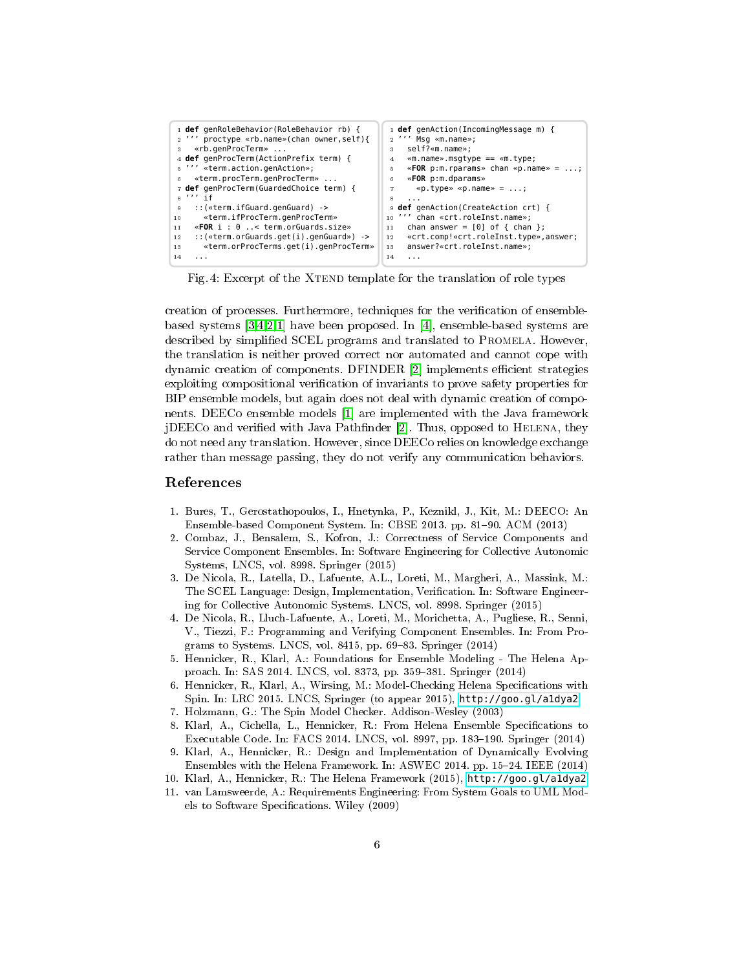```
1 def genRoleBehavior(RoleBehavior rb) {
2 ''' proctype «rb.name»(chan owner,self){
 3 «rb.genProcTerm» ...
4 def genProcTerm(ActionPrefix term) {
5 ''' «term.action.genAction»;
6 «term.procTerm.genProcTerm»
7 def genProcTerm(GuardedChoice term) {
8''' if
9 ::(«term.ifGuard.genGuard) ->
10 «term.ifProcTerm.genProcTerm»
11 «FOR i : 0 ..< term.orGuards.size»
12 ::(«term.orGuards.get(i).genGuard») ->
13 «term.orProcTerms.get(i).genProcTerm»
14
                                                1 def genAction(IncomingMessage m) {
                                                2 ''' Msg «m.name»;
                                                3 self?«m.name»;
                                                4 «m.name».msgtype == «m.type;
                                                5 «FOR p:m.rparams» chan «p.name» = ...;
                                                6 «FOR p:m.dparams»
                                                7 «p.type» «p.name» = ...;
                                                8 ...
9 def genAction(CreateAction crt) {
                                               10 ''' chan «crt.roleInst.name»;
                                               11 chan answer = [0] of \{ chan \}:
                                               12 «crt.comp!«crt.roleInst.type»,answer;
                                               13 answer?«crt.roleInst.name»;
                                               14
```
Fig. 4: Excerpt of the XTEND template for the translation of role types

creation of processes. Furthermore, techniques for the verification of ensemblebased systems  $[3,4,2,1]$  $[3,4,2,1]$  $[3,4,2,1]$  $[3,4,2,1]$  have been proposed. In [\[4\]](#page-5-9), ensemble-based systems are described by simplified SCEL programs and translated to PROMELA. However, the translation is neither proved correct nor automated and cannot cope with dynamic creation of components. DFINDER [\[2\]](#page-5-10) implements efficient strategies exploiting compositional verification of invariants to prove safety properties for BIP ensemble models, but again does not deal with dynamic creation of components. DEECo ensemble models [\[1\]](#page-5-11) are implemented with the Java framework jDEECo and verified with Java Pathfinder [\[2\]](#page-5-10). Thus, opposed to HELENA, they do not need any translation. However, since DEECo relies on knowledge exchange rather than message passing, they do not verify any communication behaviors.

## References

- <span id="page-5-11"></span>1. Bures, T., Gerostathopoulos, I., Hnetynka, P., Keznikl, J., Kit, M.: DEECO: An Ensemble-based Component System. In: CBSE 2013. pp. 81-90. ACM (2013)
- <span id="page-5-10"></span>2. Combaz, J., Bensalem, S., Kofron, J.: Correctness of Service Components and Service Component Ensembles. In: Software Engineering for Collective Autonomic Systems, LNCS, vol. 8998. Springer (2015)
- <span id="page-5-8"></span>3. De Nicola, R., Latella, D., Lafuente, A.L., Loreti, M., Margheri, A., Massink, M.: The SCEL Language: Design, Implementation, Verification. In: Software Engineering for Collective Autonomic Systems. LNCS, vol. 8998. Springer (2015)
- <span id="page-5-9"></span>4. De Nicola, R., Lluch-Lafuente, A., Loreti, M., Morichetta, A., Pugliese, R., Senni, V., Tiezzi, F.: Programming and Verifying Component Ensembles. In: From Programs to Systems. LNCS, vol. 8415, pp. 69-83. Springer  $(2014)$
- <span id="page-5-0"></span>5. Hennicker, R., Klarl, A.: Foundations for Ensemble Modeling - The Helena Approach. In: SAS 2014. LNCS, vol. 8373, pp. 359-381. Springer (2014)
- <span id="page-5-3"></span>6. Hennicker, R., Klarl, A., Wirsing, M.: Model-Checking Helena Specifications with Spin. In: LRC 2015. LNCS, Springer (to appear 2015), <http://goo.gl/a1dya2>
- <span id="page-5-4"></span>7. Holzmann, G.: The Spin Model Checker. Addison-Wesley (2003)
- <span id="page-5-5"></span>8. Klarl, A., Cichella, L., Hennicker, R.: From Helena Ensemble Specifications to Executable Code. In: FACS 2014. LNCS, vol. 8997, pp. 183-190. Springer (2014)
- <span id="page-5-1"></span>9. Klarl, A., Hennicker, R.: Design and Implementation of Dynamically Evolving Ensembles with the Helena Framework. In: ASWEC 2014. pp. 1524. IEEE (2014)
- <span id="page-5-6"></span>10. Klarl, A., Hennicker, R.: The Helena Framework (2015), <http://goo.gl/a1dya2>
- <span id="page-5-2"></span>11. van Lamsweerde, A.: Requirements Engineering: From System Goals to UML Models to Software Specifications. Wiley (2009)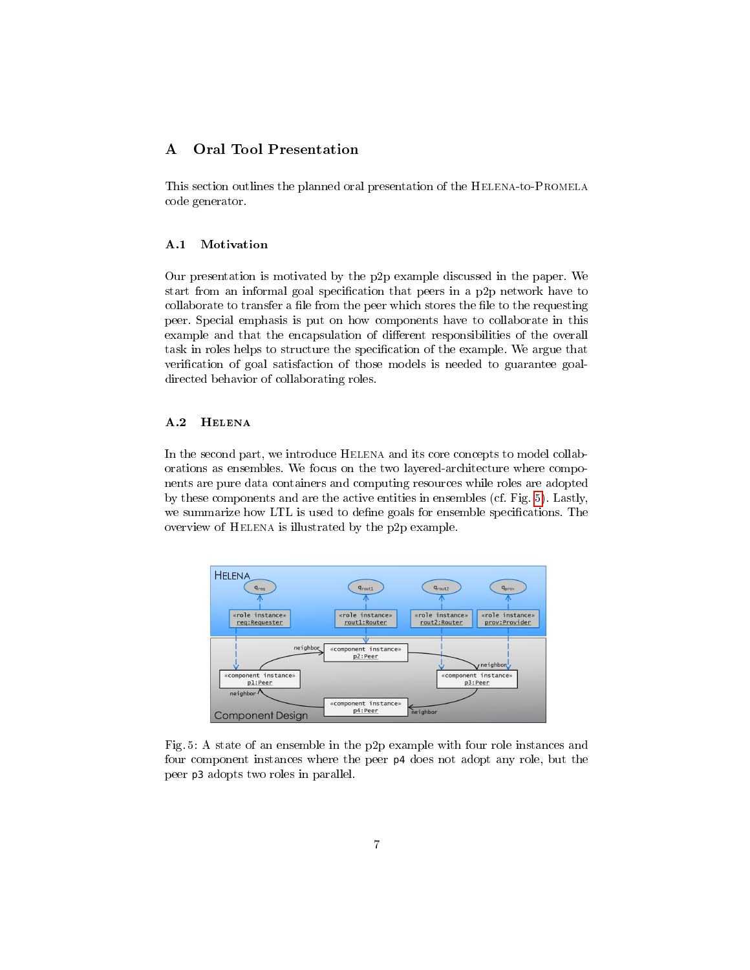# A Oral Tool Presentation

This section outlines the planned oral presentation of the HELENA-to-PROMELA code generator.

#### A.1 Motivation

Our presentation is motivated by the p2p example discussed in the paper. We start from an informal goal specification that peers in a p2p network have to collaborate to transfer a file from the peer which stores the file to the requesting peer. Special emphasis is put on how components have to collaborate in this example and that the encapsulation of different responsibilities of the overall task in roles helps to structure the specification of the example. We argue that verification of goal satisfaction of those models is needed to guarantee goaldirected behavior of collaborating roles.

### A.2 Helena

In the second part, we introduce HELENA and its core concepts to model collaborations as ensembles. We focus on the two layered-architecture where components are pure data containers and computing resources while roles are adopted by these components and are the active entities in ensembles (cf. Fig. [5\)](#page-6-0). Lastly, we summarize how LTL is used to define goals for ensemble specifications. The overview of Helena is illustrated by the p2p example.

<span id="page-6-0"></span>

Fig. 5: A state of an ensemble in the p2p example with four role instances and four component instances where the peer p4 does not adopt any role, but the peer p3 adopts two roles in parallel.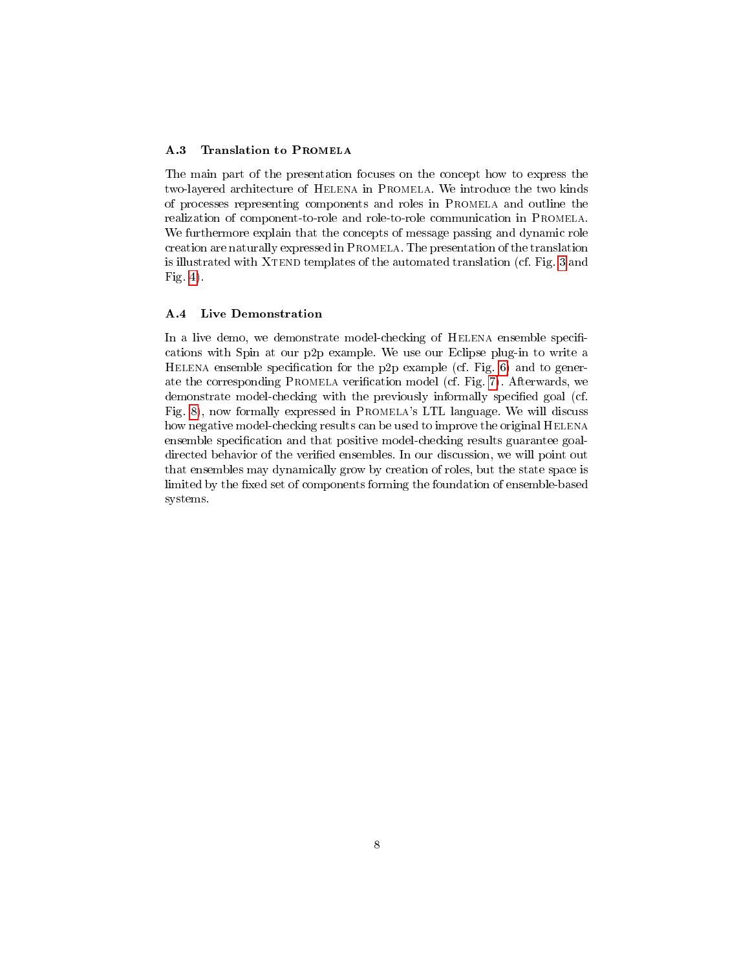#### A.3 Translation to Promela

The main part of the presentation focuses on the concept how to express the two-layered architecture of Helena in Promela. We introduce the two kinds of processes representing components and roles in Promela and outline the realization of component-to-role and role-to-role communication in Promela. We furthermore explain that the concepts of message passing and dynamic role creation are naturally expressed in Promela. The presentation of the translation is illustrated with XTEND templates of the automated translation (cf. Fig. [3](#page-4-0) and Fig. [4\)](#page-5-7).

### A.4 Live Demonstration

In a live demo, we demonstrate model-checking of HELENA ensemble specifications with Spin at our p2p example. We use our Eclipse plug-in to write a HELENA ensemble specification for the p2p example (cf. Fig. [6\)](#page-8-0) and to gener-ate the corresponding PROMELA verification model (cf. Fig. [7\)](#page-9-0). Afterwards, we demonstrate model-checking with the previously informally specified goal (cf. Fig. [8\)](#page-10-0), now formally expressed in PROMELA's LTL language. We will discuss how negative model-checking results can be used to improve the original HELENA ensemble specification and that positive model-checking results guarantee goaldirected behavior of the verified ensembles. In our discussion, we will point out that ensembles may dynamically grow by creation of roles, but the state space is limited by the fixed set of components forming the foundation of ensemble-based systems.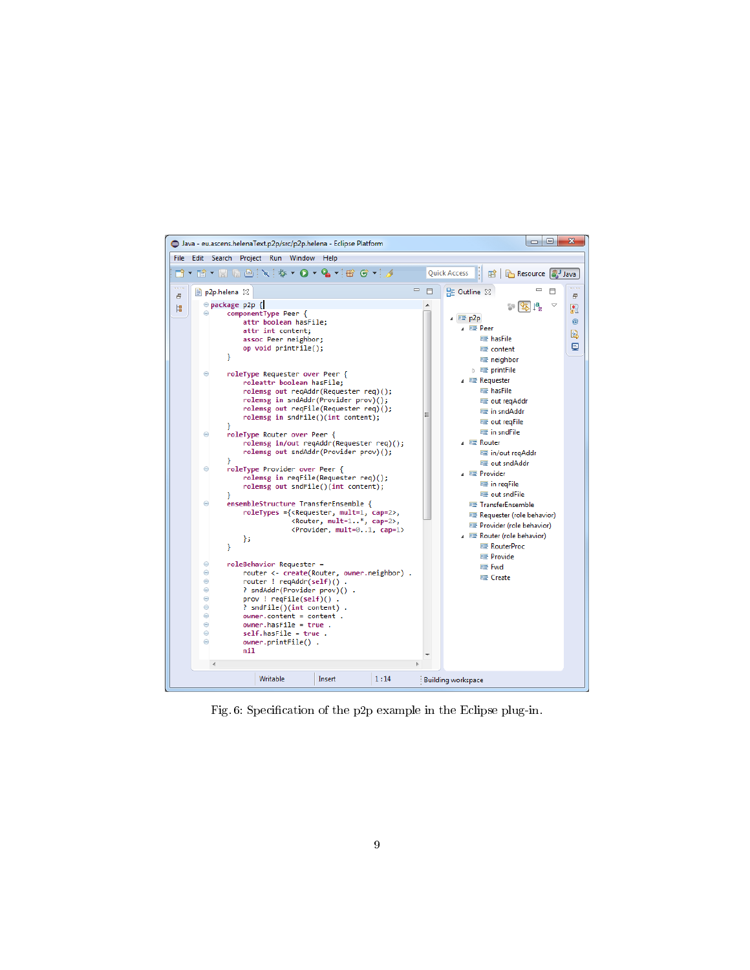<span id="page-8-0"></span>

Fig. 6: Specification of the p2p example in the Eclipse plug-in.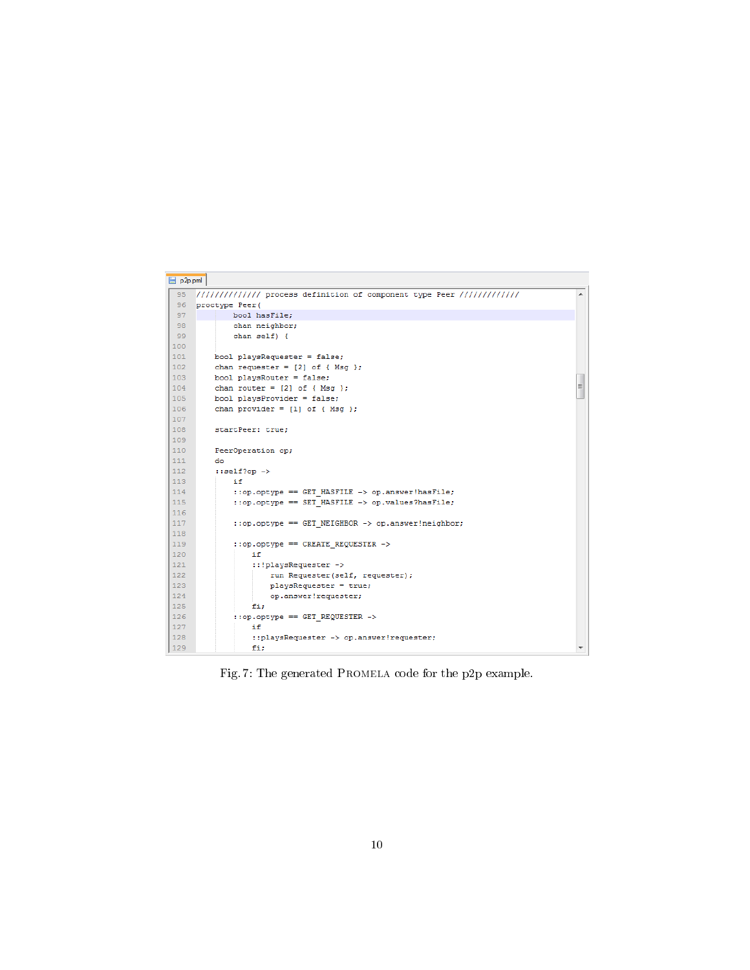<span id="page-9-0"></span>

| p2p.pml    |                                                                         |   |
|------------|-------------------------------------------------------------------------|---|
| 95         | ////////////// process definition of component type Peer ////////////// |   |
| 96         | proctype Peer (                                                         |   |
| 97         | bool hasFile;                                                           |   |
| 98         | chan neighbor;                                                          |   |
| 99         | chan $self)$ {                                                          |   |
| 100        |                                                                         |   |
| 101        | bool playsRequester = false;                                            |   |
| 102        | chan requester = $[2]$ of { Msg };                                      |   |
| 103        | bool playsRouter = false;                                               |   |
| 104        | chan router = $[2]$ of { Msq };                                         | ≣ |
| 105        | bool playsProvider = false;                                             |   |
| 106        | chan provider = $[1]$ of { Msg };                                       |   |
| 107        |                                                                         |   |
| 108        | startPeer: true:                                                        |   |
| 109        |                                                                         |   |
| 110        | PeerOperation op;                                                       |   |
| 111        | do                                                                      |   |
| 112        | $::self?op \rightarrow$                                                 |   |
| 113        | i f                                                                     |   |
| 114        | ::op.optype == GET HASFILE -> op.answer!hasFile;                        |   |
| 115        | ::op.optype == SET HASFILE -> op.values?hasFile;                        |   |
| 116        |                                                                         |   |
| 117<br>118 | ::op.optype == GET NEIGHBOR -> op.answer!neighbor;                      |   |
| 119        |                                                                         |   |
| 120        | ::op.optype == CREATE REQUESTER -><br>if.                               |   |
| 121        | :: !playsRequester ->                                                   |   |
| 122        | run Requester (self, requester);                                        |   |
| 123        | $plays$ $Requester = true;$                                             |   |
| 124        | op.answer!requester;                                                    |   |
| 125        | fi:                                                                     |   |
| 126        | ::op.optype == GET REQUESTER ->                                         |   |
| 127        | if                                                                      |   |
| 128        | ::playsRequester -> op.answer!requester;                                |   |
| 129        | fi:                                                                     | ٠ |

Fig. 7: The generated PROMELA code for the p2p example.